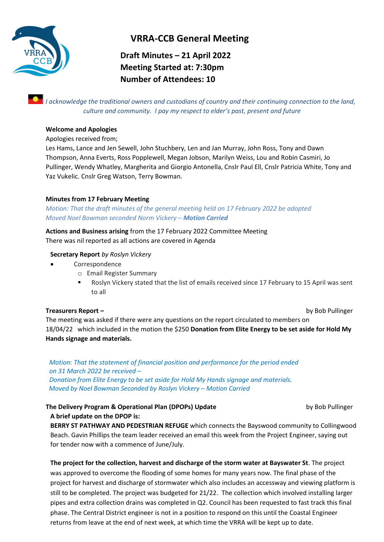

# **VRRA-CCB General Meeting**

**Draft Minutes – 21 April 2022 Meeting Started at: 7:30pm Number of Attendees: 10**

*I acknowledge the traditional owners and custodians of country and their continuing connection to the land, culture and community. I pay my respect to elder's past, present and future*

## **Welcome and Apologies**

Apologies received from;

Les Hams, Lance and Jen Sewell, John Stuchbery, Len and Jan Murray, John Ross, Tony and Dawn Thompson, Anna Everts, Ross Popplewell, Megan Jobson, Marilyn Weiss, Lou and Robin Casmiri, Jo Pullinger, Wendy Whatley, Margherita and Giorgio Antonella, Cnslr Paul Ell, Cnslr Patricia White, Tony and Yaz Vukelic. Cnslr Greg Watson, Terry Bowman.

## **Minutes from 17 February Meeting**

*Motion: That the draft minutes of the general meeting held on 17 February 2022 be adopted Moved Noel Bowman seconded Norm Vickery – Motion Carried*

**Actions and Business arising** from the 17 February 2022 Committee Meeting

There was nil reported as all actions are covered in Agenda

## **Secretary Report** *by Roslyn Vickery*

- Correspondence
	- o Email Register Summary
	- Roslyn Vickery stated that the list of emails received since 17 February to 15 April was sent to all

## **Treasurers Report –** by Bob Pullinger

The meeting was asked if there were any questions on the report circulated to members on 18/04/22 which included in the motion the \$250 **Donation from Elite Energy to be set aside for Hold My Hands signage and materials.**

*Motion: That the statement of financial position and performance for the period ended on 31 March 2022 be received – Donation from Elite Energy to be set aside for Hold My Hands signage and materials.*

## **The Delivery Program & Operational Plan (DPOPs) Update** by Bob Pullinger

 *Moved by Noel Bowman Seconded by Roslyn Vickery – Motion Carried*

**A brief update on the DPOP is:**

**BERRY ST PATHWAY AND PEDESTRIAN REFUGE** which connects the Bayswood community to Collingwood Beach. Gavin Phillips the team leader received an email this week from the Project Engineer, saying out for tender now with a commence of June/July.

**The project for the collection, harvest and discharge of the storm water at Bayswater St**. The project was approved to overcome the flooding of some homes for many years now. The final phase of the project for harvest and discharge of stormwater which also includes an accessway and viewing platform is still to be completed. The project was budgeted for 21/22. The collection which involved installing larger pipes and extra collection drains was completed in Q2. Council has been requested to fast track this final phase. The Central District engineer is not in a position to respond on this until the Coastal Engineer returns from leave at the end of next week, at which time the VRRA will be kept up to date.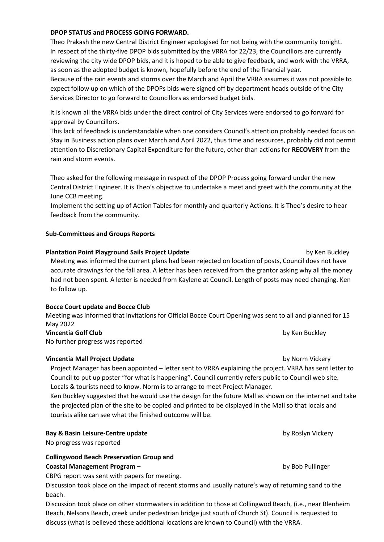#### **DPOP STATUS and PROCESS GOING FORWARD.**

Theo Prakash the new Central District Engineer apologised for not being with the community tonight. In respect of the thirty-five DPOP bids submitted by the VRRA for 22/23, the Councillors are currently reviewing the city wide DPOP bids, and it is hoped to be able to give feedback, and work with the VRRA, as soon as the adopted budget is known, hopefully before the end of the financial year. Because of the rain events and storms over the March and April the VRRA assumes it was not possible to expect follow up on which of the DPOPs bids were signed off by department heads outside of the City Services Director to go forward to Councillors as endorsed budget bids.

It is known all the VRRA bids under the direct control of City Services were endorsed to go forward for approval by Councillors.

This lack of feedback is understandable when one considers Council's attention probably needed focus on Stay in Business action plans over March and April 2022, thus time and resources, probably did not permit attention to Discretionary Capital Expenditure for the future, other than actions for **RECOVERY** from the rain and storm events.

Theo asked for the following message in respect of the DPOP Process going forward under the new Central District Engineer. It is Theo's objective to undertake a meet and greet with the community at the June CCB meeting.

Implement the setting up of Action Tables for monthly and quarterly Actions. It is Theo's desire to hear feedback from the community.

#### **Sub-Committees and Groups Reports**

# **Plantation Point Playground Sails Project Update** by Ken Buckley Meeting was informed the current plans had been rejected on location of posts, Council does not have accurate drawings for the fall area. A letter has been received from the grantor asking why all the money had not been spent. A letter is needed from Kaylene at Council. Length of posts may need changing. Ken to follow up.

#### **Bocce Court update and Bocce Club**

Meeting was informed that invitations for Official Bocce Court Opening was sent to all and planned for 15 May 2022 **Vincentia Golf Club** by Ken Buckley

No further progress was reported

#### **Vincentia Mall Project Update** by Norm Vickery **by Norm Vickery**

Project Manager has been appointed – letter sent to VRRA explaining the project. VRRA has sent letter to Council to put up poster "for what is happening". Council currently refers public to Council web site. Locals & tourists need to know. Norm is to arrange to meet Project Manager.

Ken Buckley suggested that he would use the design for the future Mall as shown on the internet and take the projected plan of the site to be copied and printed to be displayed in the Mall so that locals and tourists alike can see what the finished outcome will be.

#### **Bay & Basin Leisure-Centre update by Roslyn Vickery**

No progress was reported

#### **Collingwood Beach Preservation Group and**

#### **Coastal Management Program –** by Bob Pullinger

CBPG report was sent with papers for meeting.

Discussion took place on the impact of recent storms and usually nature's way of returning sand to the beach.

Discussion took place on other stormwaters in addition to those at Collingwod Beach, (i.e., near Blenheim Beach, Nelsons Beach, creek under pedestrian bridge just south of Church St). Council is requested to discuss (what is believed these additional locations are known to Council) with the VRRA.